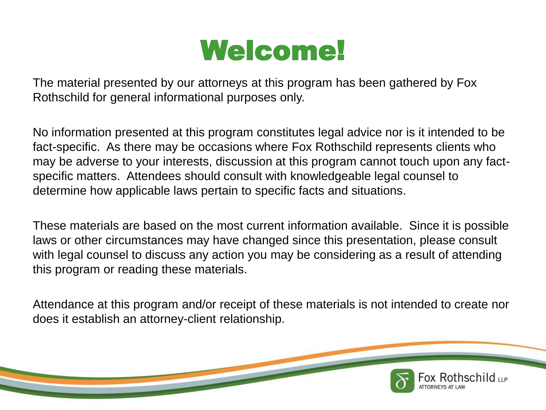## Welcome!

The material presented by our attorneys at this program has been gathered by Fox Rothschild for general informational purposes only.

No information presented at this program constitutes legal advice nor is it intended to be fact-specific. As there may be occasions where Fox Rothschild represents clients who may be adverse to your interests, discussion at this program cannot touch upon any factspecific matters. Attendees should consult with knowledgeable legal counsel to determine how applicable laws pertain to specific facts and situations.

These materials are based on the most current information available. Since it is possible laws or other circumstances may have changed since this presentation, please consult with legal counsel to discuss any action you may be considering as a result of attending this program or reading these materials.

Attendance at this program and/or receipt of these materials is not intended to create nor does it establish an attorney-client relationship.

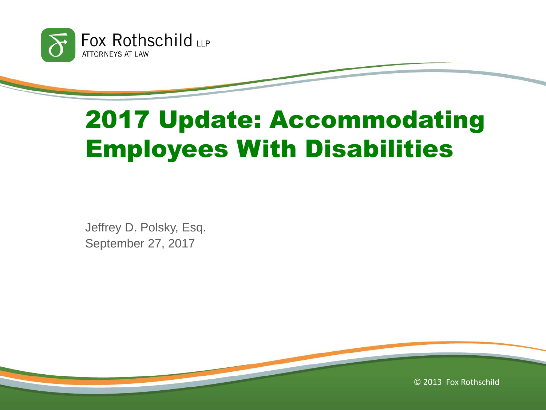

#### 2017 Update: Accommodating Employees With Disabilities

Jeffrey D. Polsky, Esq. September 27, 2017

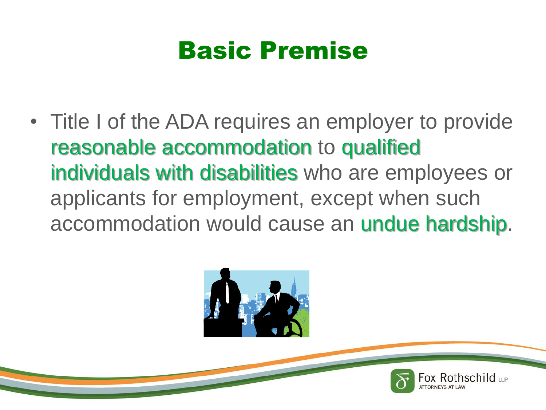#### Basic Premise

• Title I of the ADA requires an employer to provide reasonable accommodation to qualified individuals with disabilities who are employees or applicants for employment, except when such accommodation would cause an undue hardship.



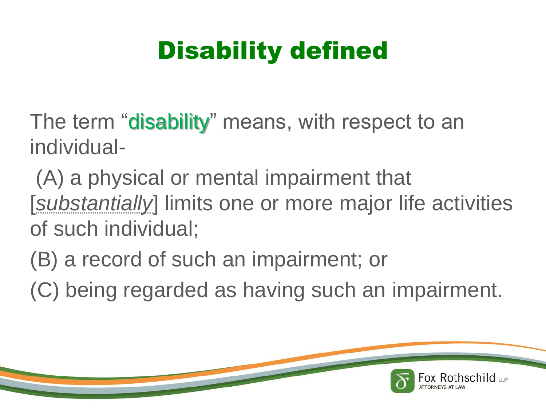# Disability defined

The term "**disability**" means, with respect to an individual-

(A) a physical or mental impairment that [*substantially*] limits one or more major life activities of such individual;

(B) a record of such an impairment; or

(C) being regarded as having such an impairment.

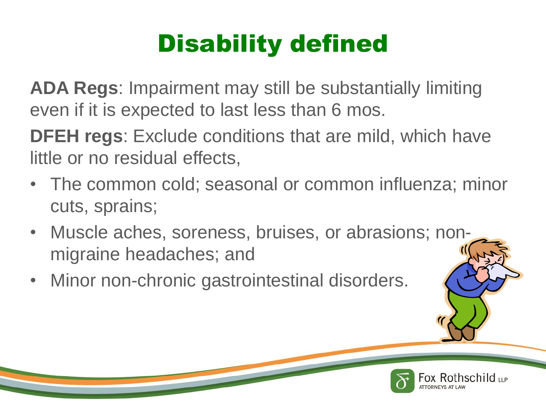# Disability defined

**ADA Regs**: Impairment may still be substantially limiting even if it is expected to last less than 6 mos.

**DFEH regs**: Exclude conditions that are mild, which have little or no residual effects,

- The common cold; seasonal or common influenza; minor cuts, sprains;
- Muscle aches, soreness, bruises, or abrasions; nonmigraine headaches; and
- Minor non-chronic gastrointestinal disorders.

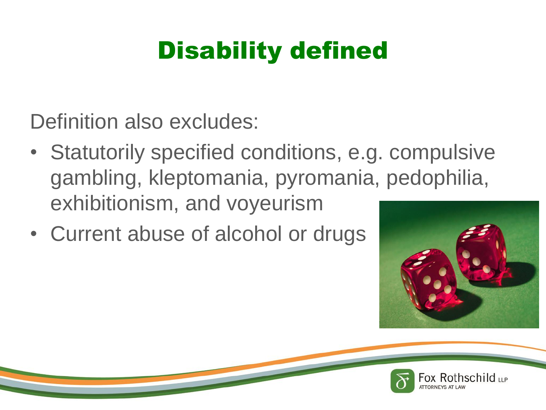# Disability defined

Definition also excludes:

- Statutorily specified conditions, e.g. compulsive gambling, kleptomania, pyromania, pedophilia, exhibitionism, and voyeurism
- Current abuse of alcohol or drugs



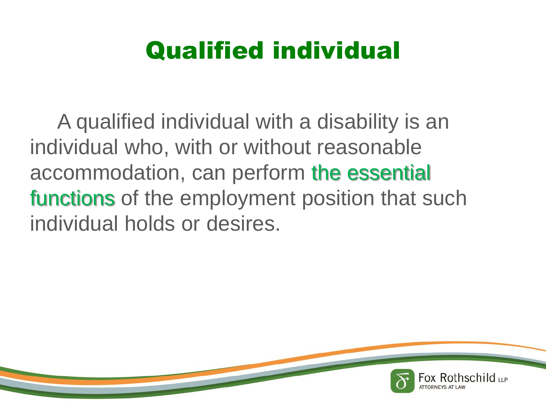#### Qualified individual

A qualified individual with a disability is an individual who, with or without reasonable accommodation, can perform the essential functions of the employment position that such individual holds or desires.

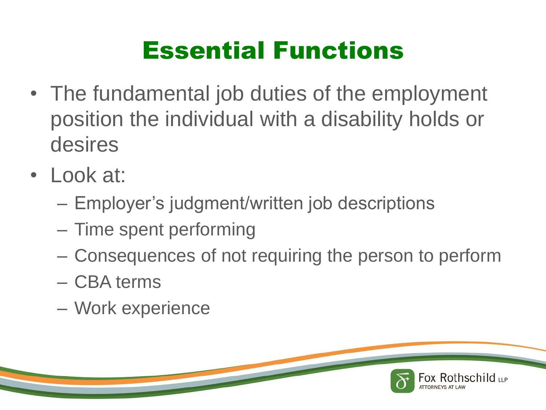#### Essential Functions

- The fundamental job duties of the employment position the individual with a disability holds or desires
- Look at:
	- Employer's judgment/written job descriptions
	- Time spent performing
	- Consequences of not requiring the person to perform
	- CBA terms
	- Work experience

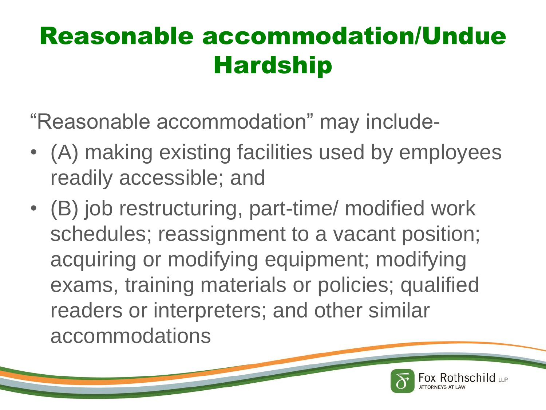#### Reasonable accommodation/Undue **Hardship**

"Reasonable accommodation" may include-

- (A) making existing facilities used by employees readily accessible; and
- (B) job restructuring, part-time/ modified work schedules; reassignment to a vacant position; acquiring or modifying equipment; modifying exams, training materials or policies; qualified readers or interpreters; and other similar accommodations

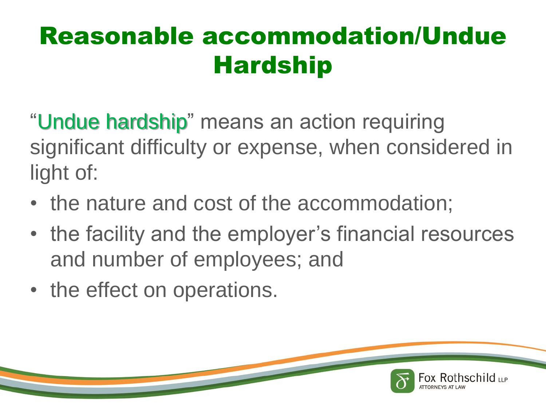#### Reasonable accommodation/Undue Hardship

- "Undue hardship" means an action requiring significant difficulty or expense, when considered in light of:
- the nature and cost of the accommodation;
- the facility and the employer's financial resources and number of employees; and

ox Rothschild

• the effect on operations.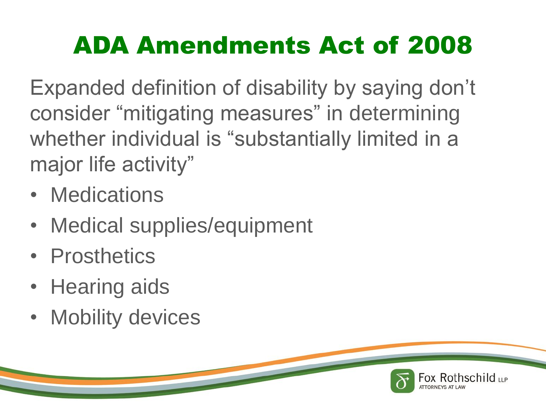## ADA Amendments Act of 2008

Expanded definition of disability by saying don't consider "mitigating measures" in determining whether individual is "substantially limited in a major life activity"

- Medications
- Medical supplies/equipment
- Prosthetics
- Hearing aids
- Mobility devices

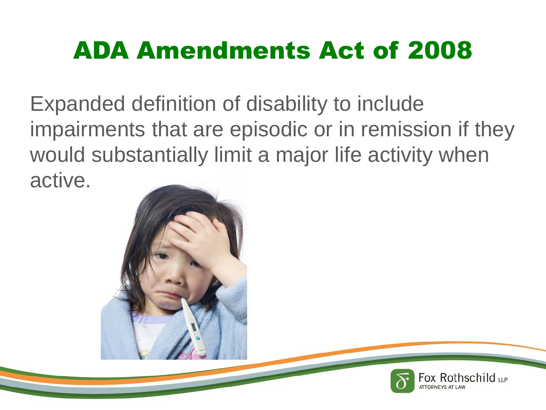#### ADA Amendments Act of 2008

Expanded definition of disability to include impairments that are episodic or in remission if they would substantially limit a major life activity when active.



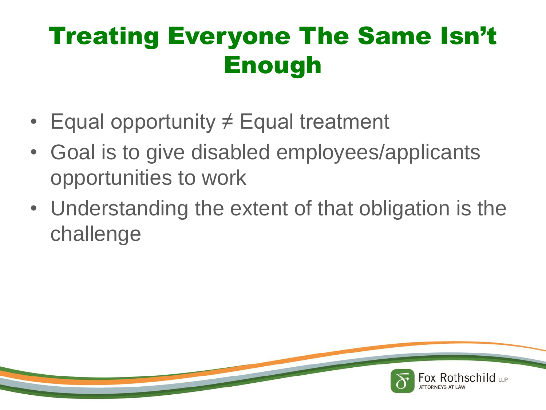## Treating Everyone The Same Isn't Enough

- Equal opportunity ≠ Equal treatment
- Goal is to give disabled employees/applicants opportunities to work
- Understanding the extent of that obligation is the challenge

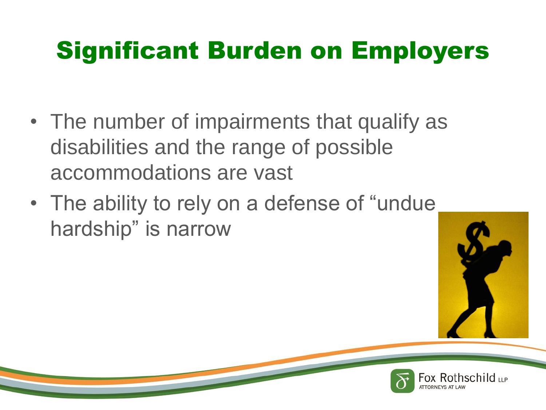#### Significant Burden on Employers

- The number of impairments that qualify as disabilities and the range of possible accommodations are vast
- The ability to rely on a defense of "undue hardship" is narrow



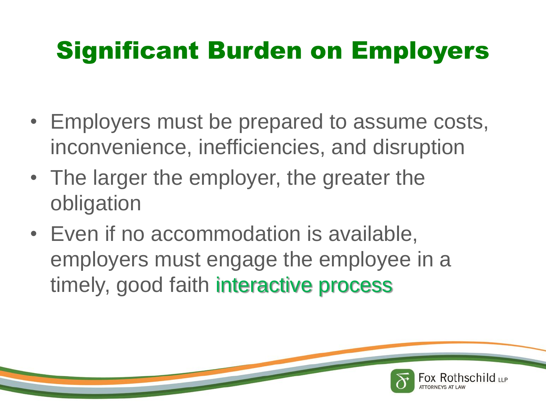## Significant Burden on Employers

- Employers must be prepared to assume costs, inconvenience, inefficiencies, and disruption
- The larger the employer, the greater the obligation
- Even if no accommodation is available, employers must engage the employee in a timely, good faith interactive process

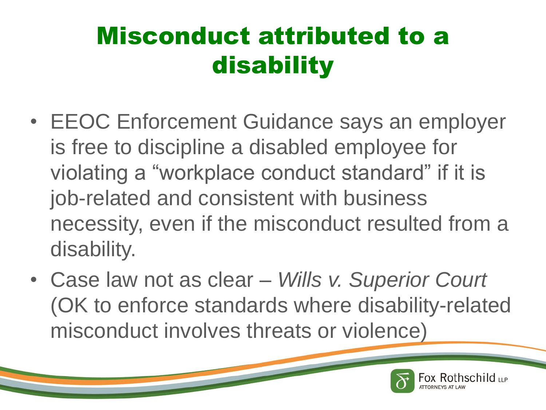## Misconduct attributed to a disability

- EEOC Enforcement Guidance says an employer is free to discipline a disabled employee for violating a "workplace conduct standard" if it is job-related and consistent with business necessity, even if the misconduct resulted from a disability.
- Case law not as clear *Wills v. Superior Court*  (OK to enforce standards where disability-related misconduct involves threats or violence)

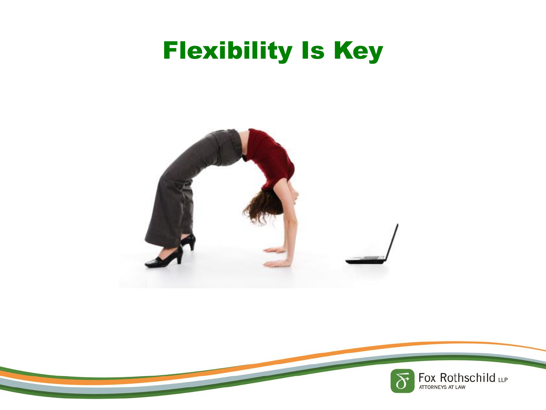#### Flexibility Is Key



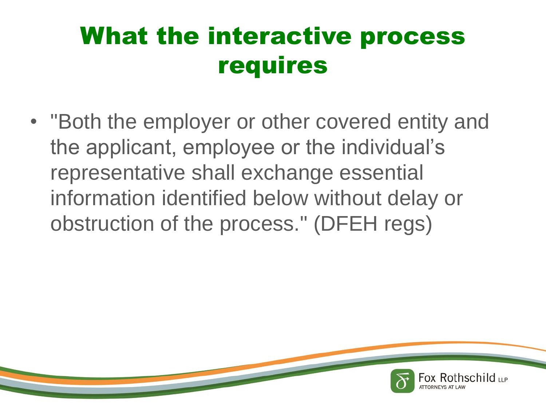• "Both the employer or other covered entity and the applicant, employee or the individual's representative shall exchange essential information identified below without delay or obstruction of the process." (DFEH regs)

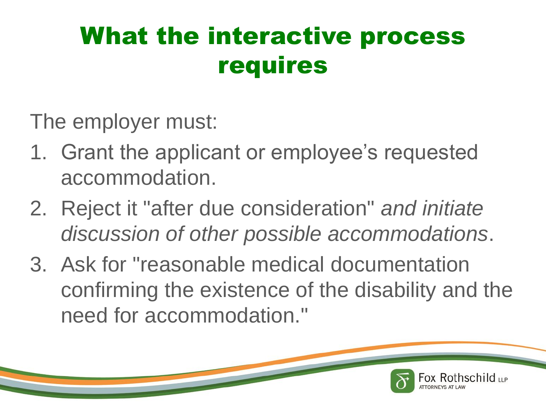The employer must:

- 1. Grant the applicant or employee's requested accommodation.
- 2. Reject it "after due consideration" *and initiate discussion of other possible accommodations*.
- 3. Ask for "reasonable medical documentation confirming the existence of the disability and the need for accommodation."

OX Rothschild LLP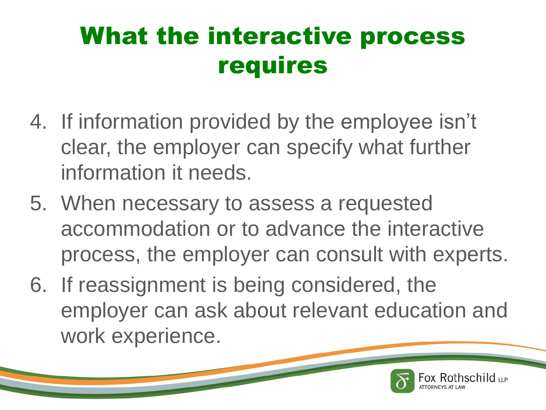- 4. If information provided by the employee isn't clear, the employer can specify what further information it needs.
- 5. When necessary to assess a requested accommodation or to advance the interactive process, the employer can consult with experts.
- 6. If reassignment is being considered, the employer can ask about relevant education and work experience.

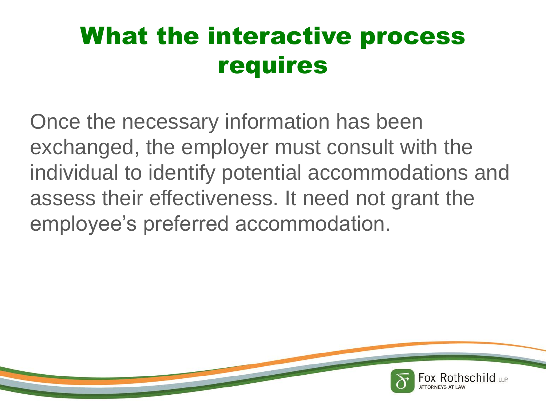Once the necessary information has been exchanged, the employer must consult with the individual to identify potential accommodations and assess their effectiveness. It need not grant the employee's preferred accommodation.

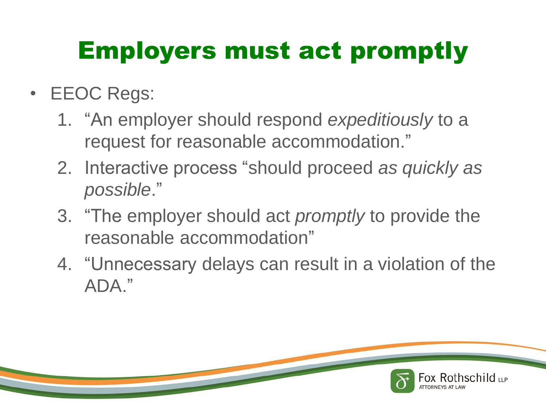## Employers must act promptly

- EEOC Regs:
	- 1. "An employer should respond *expeditiously* to a request for reasonable accommodation."
	- 2. Interactive process "should proceed *as quickly as possible*."
	- 3. "The employer should act *promptly* to provide the reasonable accommodation"
	- 4. "Unnecessary delays can result in a violation of the ADA."

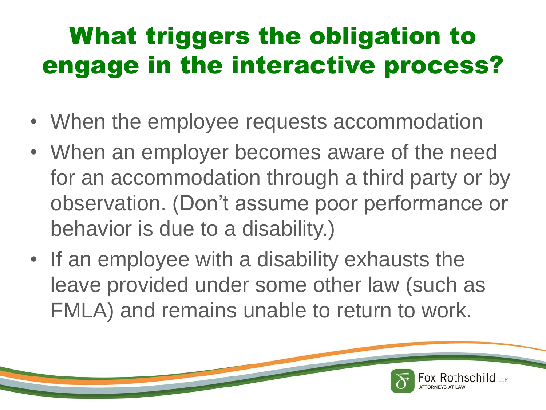## What triggers the obligation to engage in the interactive process?

- When the employee requests accommodation
- When an employer becomes aware of the need for an accommodation through a third party or by observation. (Don't assume poor performance or behavior is due to a disability.)
- If an employee with a disability exhausts the leave provided under some other law (such as FMLA) and remains unable to return to work.

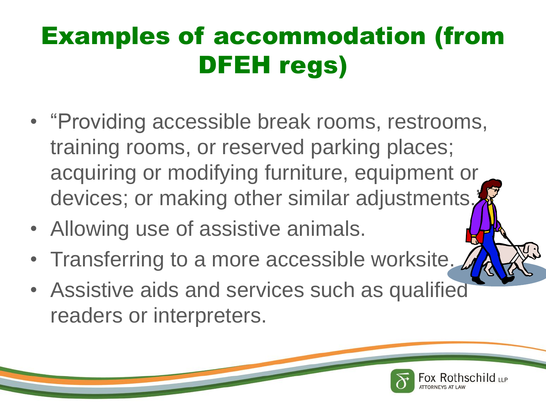## Examples of accommodation (from DFEH regs)

- "Providing accessible break rooms, restrooms, training rooms, or reserved parking places; acquiring or modifying furniture, equipment or devices; or making other similar adjustments.
- Allowing use of assistive animals.
- Transferring to a more accessible worksite.
- Assistive aids and services such as qualified readers or interpreters.

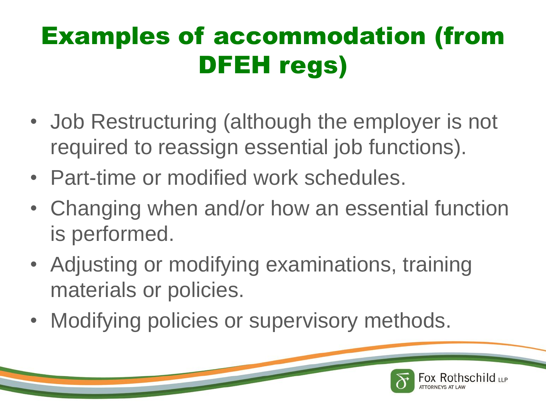# Examples of accommodation (from DFEH regs)

- Job Restructuring (although the employer is not required to reassign essential job functions).
- Part-time or modified work schedules.
- Changing when and/or how an essential function is performed.
- Adjusting or modifying examinations, training materials or policies.
- Modifying policies or supervisory methods.

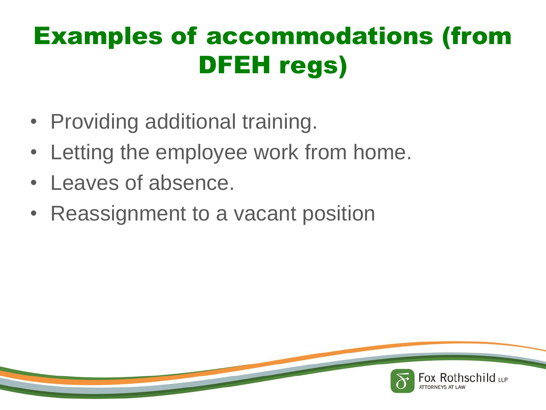## Examples of accommodations (from DFEH regs)

- Providing additional training.
- Letting the employee work from home.
- Leaves of absence.
- Reassignment to a vacant position

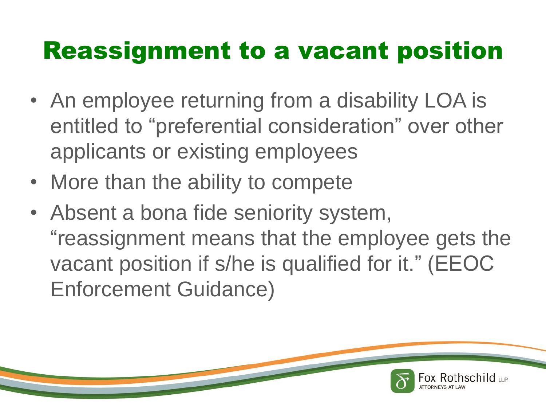#### Reassignment to a vacant position

- An employee returning from a disability LOA is entitled to "preferential consideration" over other applicants or existing employees
- More than the ability to compete
- Absent a bona fide seniority system, "reassignment means that the employee gets the vacant position if s/he is qualified for it." (EEOC Enforcement Guidance)

ox Rothschild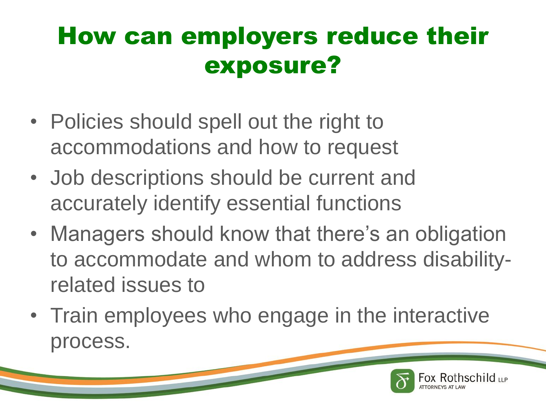#### How can employers reduce their exposure?

- Policies should spell out the right to accommodations and how to request
- Job descriptions should be current and accurately identify essential functions
- Managers should know that there's an obligation to accommodate and whom to address disabilityrelated issues to
- Train employees who engage in the interactive process.

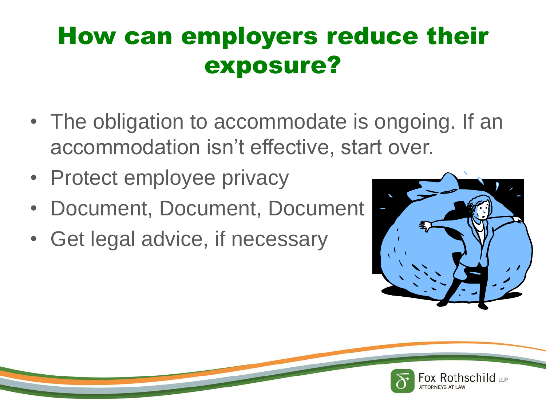#### How can employers reduce their exposure?

- The obligation to accommodate is ongoing. If an accommodation isn't effective, start over.
- Protect employee privacy
- Document, Document, Document
- Get legal advice, if necessary



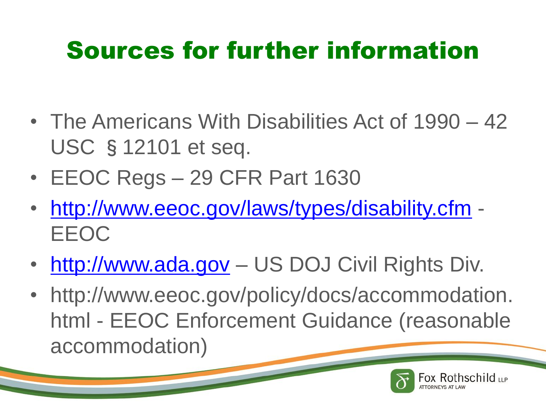## Sources for further information

- The Americans With Disabilities Act of 1990 42 USC §12101 et seq.
- EEOC Regs 29 CFR Part 1630
- <http://www.eeoc.gov/laws/types/disability.cfm> EEOC
- [http://www.ada.gov](http://www.ada.gov/) US DOJ Civil Rights Div.
- http://www.eeoc.gov/policy/docs/accommodation. html - EEOC Enforcement Guidance (reasonable accommodation)

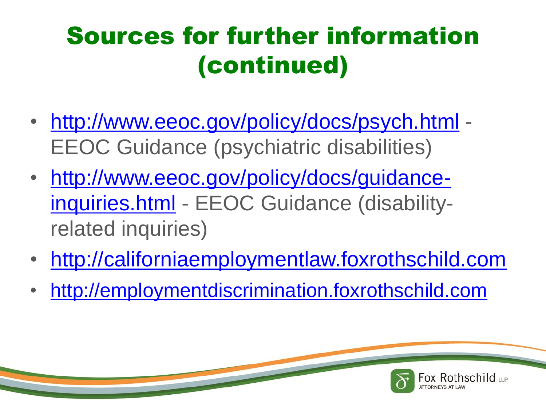## Sources for further information (continued)

- <http://www.eeoc.gov/policy/docs/psych.html> EEOC Guidance (psychiatric disabilities)
- [http://www.eeoc.gov/policy/docs/guidance](http://www.eeoc.gov/policy/docs/guidance-inquiries.html)inquiries.html - EEOC Guidance (disabilityrelated inquiries)
- [http://californiaemploymentlaw.foxrothschild.com](http://californiaemploymentlaw.foxrothschild.com/)
- [http://employmentdiscrimination.foxrothschild.com](http://employmentdiscrimination.foxrothschild.com/)